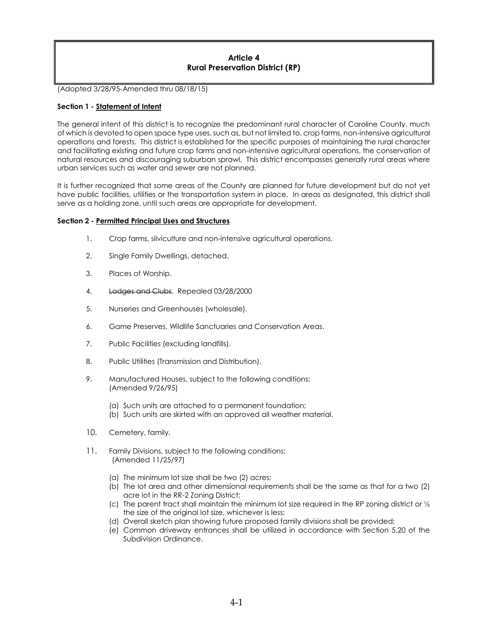# **Article 4 Rural Preservation District (RP)**

(Adopted 3/28/95-Amended thru 08/18/15)

## **Section 1 - Statement of Intent**

The general intent of this district is to recognize the predominant rural character of Caroline County, much of which is devoted to open space type uses, such as, but not limited to, crop farms, non-intensive agricultural operations and forests. This district is established for the specific purposes of maintaining the rural character and facilitating existing and future crop farms and non-intensive agricultural operations, the conservation of natural resources and discouraging suburban sprawl. This district encompasses generally rural areas where urban services such as water and sewer are not planned.

It is further recognized that some areas of the County are planned for future development but do not yet have public facilities, utilities or the transportation system in place. In areas as designated, this district shall serve as a holding zone, until such areas are appropriate for development.

### **Section 2 - Permitted Principal Uses and Structures**

- 1. Crop farms, silviculture and non-intensive agricultural operations.
- 2. Single Family Dwellings, detached.
- 3. Places of Worship.
- 4. Lodges and Clubs. Repealed 03/28/2000
- 5. Nurseries and Greenhouses (wholesale).
- 6. Game Preserves, Wildlife Sanctuaries and Conservation Areas.
- 7. Public Facilities (excluding landfills).
- 8. Public Utilities (Transmission and Distribution).
- 9. Manufactured Houses, subject to the following conditions: (Amended 9/26/95)
	- (a) Such units are attached to a permanent foundation;
	- (b) Such units are skirted with an approved all weather material.
- 10. Cemetery, family.
- 11. Family Divisions, subject to the following conditions: (Amended 11/25/97)
	- (a) The minimum lot size shall be two (2) acres;
	- (b) The lot area and other dimensional requirements shall be the same as that for a two (2) acre lot in the RR-2 Zoning District;
	- (c) The parent tract shall maintain the minimum lot size required in the RP zoning district or  $\frac{1}{2}$ the size of the original lot size, whichever is less;
	- (d) Overall sketch plan showing future proposed family divisions shall be provided;
	- (e) Common driveway entrances shall be utilized in accordance with Section 5.20 of the Subdivision Ordinance.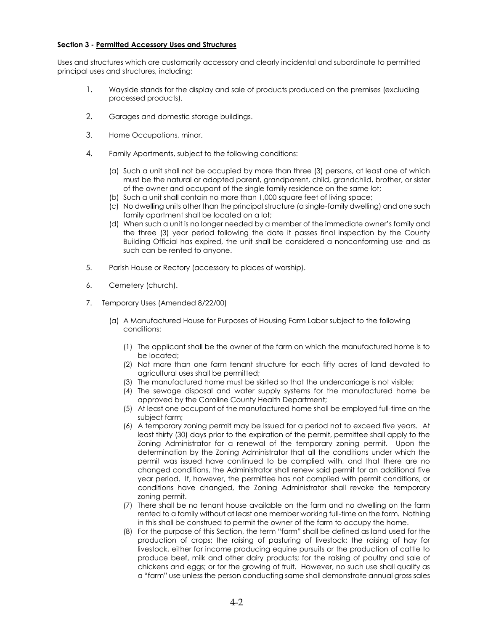### **Section 3 - Permitted Accessory Uses and Structures**

Uses and structures which are customarily accessory and clearly incidental and subordinate to permitted principal uses and structures, including:

- 1. Wayside stands for the display and sale of products produced on the premises (excluding processed products).
- 2. Garages and domestic storage buildings.
- 3. Home Occupations, minor.
- 4. Family Apartments, subject to the following conditions:
	- (a) Such a unit shall not be occupied by more than three (3) persons, at least one of which must be the natural or adopted parent, grandparent, child, grandchild, brother, or sister of the owner and occupant of the single family residence on the same lot;
	- (b) Such a unit shall contain no more than 1,000 square feet of living space;
	- (c) No dwelling units other than the principal structure (a single-family dwelling) and one such family apartment shall be located on a lot;
	- (d) When such a unit is no longer needed by a member of the immediate owner's family and the three (3) year period following the date it passes final inspection by the County Building Official has expired, the unit shall be considered a nonconforming use and as such can be rented to anyone.
- 5. Parish House or Rectory (accessory to places of worship).
- 6. Cemetery (church).
- 7. Temporary Uses (Amended 8/22/00)
	- (a) A Manufactured House for Purposes of Housing Farm Labor subject to the following conditions:
		- (1) The applicant shall be the owner of the farm on which the manufactured home is to be located;
		- (2) Not more than one farm tenant structure for each fifty acres of land devoted to agricultural uses shall be permitted;
		- (3) The manufactured home must be skirted so that the undercarriage is not visible;
		- (4) The sewage disposal and water supply systems for the manufactured home be approved by the Caroline County Health Department;
		- (5) At least one occupant of the manufactured home shall be employed full-time on the subject farm;
		- (6) A temporary zoning permit may be issued for a period not to exceed five years. At least thirty (30) days prior to the expiration of the permit, permittee shall apply to the Zoning Administrator for a renewal of the temporary zoning permit. Upon the determination by the Zoning Administrator that all the conditions under which the permit was issued have continued to be complied with, and that there are no changed conditions, the Administrator shall renew said permit for an additional five year period. If, however, the permittee has not complied with permit conditions, or conditions have changed, the Zoning Administrator shall revoke the temporary zoning permit.
		- (7) There shall be no tenant house available on the farm and no dwelling on the farm rented to a family without at least one member working full-time on the farm. Nothing in this shall be construed to permit the owner of the farm to occupy the home.
		- (8) For the purpose of this Section, the term "farm" shall be defined as land used for the production of crops; the raising of pasturing of livestock; the raising of hay for livestock, either for income producing equine pursuits or the production of cattle to produce beef, milk and other dairy products; for the raising of poultry and sale of chickens and eggs; or for the growing of fruit. However, no such use shall qualify as a "farm" use unless the person conducting same shall demonstrate annual gross sales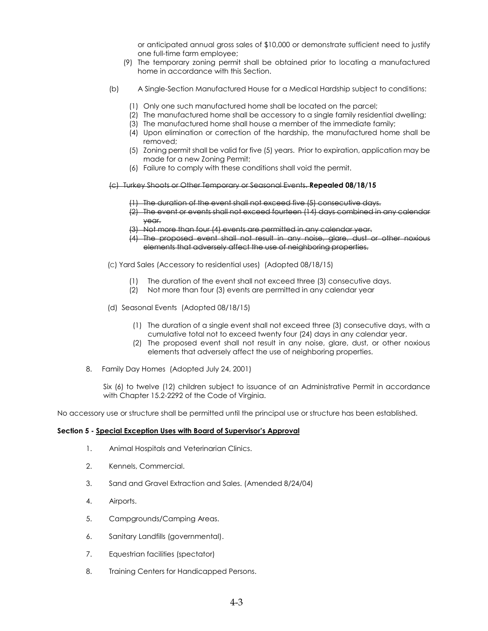or anticipated annual gross sales of \$10,000 or demonstrate sufficient need to justify one full-time farm employee;

- (9) The temporary zoning permit shall be obtained prior to locating a manufactured home in accordance with this Section.
- (b) A Single-Section Manufactured House for a Medical Hardship subject to conditions:
	- (1) Only one such manufactured home shall be located on the parcel;
	- (2) The manufactured home shall be accessory to a single family residential dwelling;
	- (3) The manufactured home shall house a member of the immediate family;
	- (4) Upon elimination or correction of the hardship, the manufactured home shall be removed;
	- (5) Zoning permit shall be valid for five (5) years. Prior to expiration, application may be made for a new Zoning Permit;
	- (6) Failure to comply with these conditions shall void the permit.
- (c) Turkey Shoots or Other Temporary or Seasonal Events. **Repealed 08/18/15**
	- (1) The duration of the event shall not exceed five (5) consecutive days.
	- (2) The event or events shall not exceed fourteen (14) days combined in any calendar year.
	- Not more than four (4) events are permitted in any calendar year.
	- (4) The proposed event shall not result in any noise, glare, dust or other noxious elements that adversely affect the use of neighboring properties.
- (C) Yard Sales (Accessory to residential uses) (Adopted 08/18/15)
	- (1) The duration of the event shall not exceed three (3) consecutive days.
	- (2) Not more than four (3) events are permitted in any calendar year
- (d) Seasonal Events (Adopted 08/18/15)
	- (1) The duration of a single event shall not exceed three (3) consecutive days, with a cumulative total not to exceed twenty four (24) days in any calendar year.
	- (2) The proposed event shall not result in any noise, glare, dust, or other noxious elements that adversely affect the use of neighboring properties.
- 8. Family Day Homes (Adopted July 24, 2001)

Six (6) to twelve (12) children subject to issuance of an Administrative Permit in accordance with Chapter 15.2-2292 of the Code of Virginia.

No accessory use or structure shall be permitted until the principal use or structure has been established.

#### **Section 5 - Special Exception Uses with Board of Supervisor's Approval**

- 1. Animal Hospitals and Veterinarian Clinics.
- 2. Kennels, Commercial.
- 3. Sand and Gravel Extraction and Sales. (Amended 8/24/04)
- 4. Airports.
- 5. Campgrounds/Camping Areas.
- 6. Sanitary Landfills (governmental).
- 7. Equestrian facilities (spectator)
- 8. Training Centers for Handicapped Persons.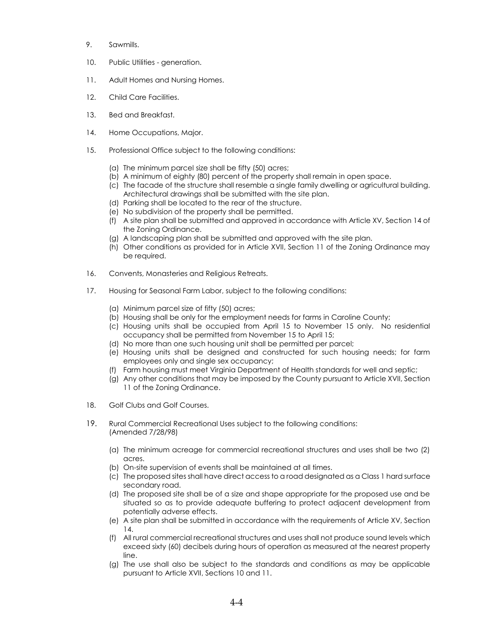- 9. Sawmills.
- 10. Public Utilities generation.
- 11. Adult Homes and Nursing Homes.
- 12. Child Care Facilities.
- 13. Bed and Breakfast.
- 14. Home Occupations, Major.
- 15. Professional Office subject to the following conditions:
	- (a) The minimum parcel size shall be fifty (50) acres;
	- (b) A minimum of eighty (80) percent of the property shall remain in open space.
	- (c) The facade of the structure shall resemble a single family dwelling or agricultural building. Architectural drawings shall be submitted with the site plan.
	- (d) Parking shall be located to the rear of the structure.
	- (e) No subdivision of the property shall be permitted.
	- (f) A site plan shall be submitted and approved in accordance with Article XV, Section 14 of the Zoning Ordinance.
	- (g) A landscaping plan shall be submitted and approved with the site plan.
	- (h) Other conditions as provided for in Article XVII, Section 11 of the Zoning Ordinance may be required.
- 16. Convents, Monasteries and Religious Retreats.
- 17. Housing for Seasonal Farm Labor, subject to the following conditions:
	- (a) Minimum parcel size of fifty (50) acres;
	- (b) Housing shall be only for the employment needs for farms in Caroline County;
	- (c) Housing units shall be occupied from April 15 to November 15 only. No residential occupancy shall be permitted from November 15 to April 15;
	- (d) No more than one such housing unit shall be permitted per parcel;
	- (e) Housing units shall be designed and constructed for such housing needs; for farm employees only and single sex occupancy;
	- (f) Farm housing must meet Virginia Department of Health standards for well and septic;
	- (g) Any other conditions that may be imposed by the County pursuant to Article XVII, Section 11 of the Zoning Ordinance.
- 18. Golf Clubs and Golf Courses.
- 19. Rural Commercial Recreational Uses subject to the following conditions: (Amended 7/28/98)
	- (a) The minimum acreage for commercial recreational structures and uses shall be two (2) acres.
	- (b) On-site supervision of events shall be maintained at all times.
	- (c) The proposed sites shall have direct access to a road designated as a Class 1 hard surface secondary road.
	- (d) The proposed site shall be of a size and shape appropriate for the proposed use and be situated so as to provide adequate buffering to protect adjacent development from potentially adverse effects.
	- (e) A site plan shall be submitted in accordance with the requirements of Article XV, Section 14.
	- (f) All rural commercial recreational structures and uses shall not produce sound levels which exceed sixty (60) decibels during hours of operation as measured at the nearest property line.
	- (g) The use shall also be subject to the standards and conditions as may be applicable pursuant to Article XVII, Sections 10 and 11.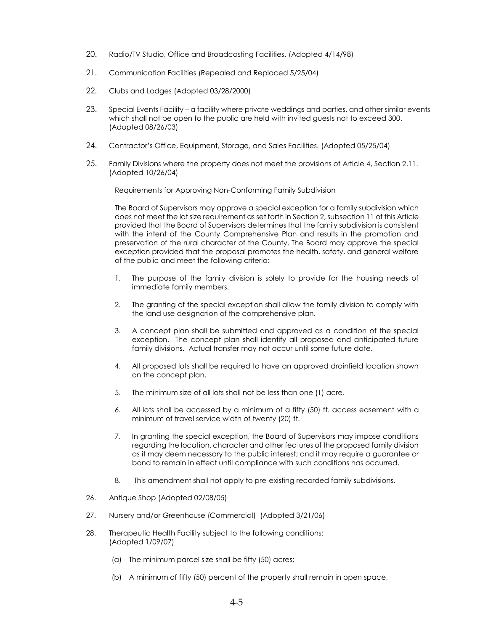- 20. Radio/TV Studio, Office and Broadcasting Facilities. (Adopted 4/14/98)
- 21. Communication Facilities (Repealed and Replaced 5/25/04)
- 22. Clubs and Lodges (Adopted 03/28/2000)
- 23. Special Events Facility a facility where private weddings and parties, and other similar events which shall not be open to the public are held with invited guests not to exceed 300. (Adopted 08/26/03)
- 24. Contractor's Office, Equipment, Storage, and Sales Facilities. (Adopted 05/25/04)
- 25. Family Divisions where the property does not meet the provisions of Article 4, Section 2.11. (Adopted 10/26/04)

Requirements for Approving Non-Conforming Family Subdivision

The Board of Supervisors may approve a special exception for a family subdivision which does not meet the lot size requirement as set forth in Section 2, subsection 11 of this Article provided that the Board of Supervisors determines that the family subdivision is consistent with the intent of the County Comprehensive Plan and results in the promotion and preservation of the rural character of the County. The Board may approve the special exception provided that the proposal promotes the health, safety, and general welfare of the public and meet the following criteria:

- 1. The purpose of the family division is solely to provide for the housing needs of immediate family members.
- 2. The granting of the special exception shall allow the family division to comply with the land use designation of the comprehensive plan.
- 3. A concept plan shall be submitted and approved as a condition of the special exception. The concept plan shall identify all proposed and anticipated future family divisions. Actual transfer may not occur until some future date.
- 4. All proposed lots shall be required to have an approved drainfield location shown on the concept plan.
- 5. The minimum size of all lots shall not be less than one (1) acre.
- 6. All lots shall be accessed by a minimum of a fifty (50) ft. access easement with a minimum of travel service width of twenty (20) ft.
- 7. In granting the special exception, the Board of Supervisors may impose conditions regarding the location, character and other features of the proposed family division as it may deem necessary to the public interest; and it may require a guarantee or bond to remain in effect until compliance with such conditions has occurred.
- 8. This amendment shall not apply to pre-existing recorded family subdivisions.
- 26. Antique Shop (Adopted 02/08/05)
- 27. Nursery and/or Greenhouse (Commercial) (Adopted 3/21/06)
- 28. Therapeutic Health Facility subject to the following conditions: (Adopted 1/09/07)
	- (a) The minimum parcel size shall be fifty (50) acres;
	- (b) A minimum of fifty (50) percent of the property shall remain in open space,